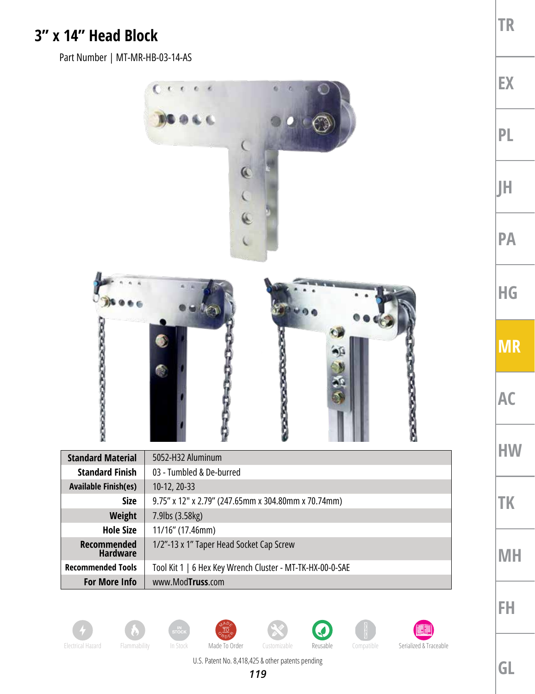## **3" x 14" Head Block**

Part Number | MT-MR-HB-03-14-AS

















U.S. Patent No. 8,418,425 & other patents pending

**GL**

**TR**

**EX**

**PL**



**HW**

**TK**

**MH**

**FH**